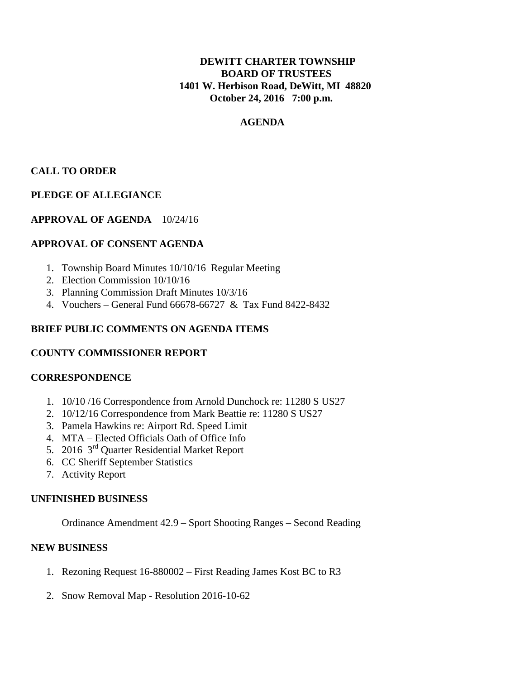# **DEWITT CHARTER TOWNSHIP BOARD OF TRUSTEES 1401 W. Herbison Road, DeWitt, MI 48820 October 24, 2016 7:00 p.m.**

# **AGENDA**

# **CALL TO ORDER**

# **PLEDGE OF ALLEGIANCE**

# **APPROVAL OF AGENDA** 10/24/16

#### **APPROVAL OF CONSENT AGENDA**

- 1. Township Board Minutes 10/10/16 Regular Meeting
- 2. Election Commission 10/10/16
- 3. Planning Commission Draft Minutes 10/3/16
- 4. Vouchers General Fund 66678-66727 & Tax Fund 8422-8432

#### **BRIEF PUBLIC COMMENTS ON AGENDA ITEMS**

# **COUNTY COMMISSIONER REPORT**

#### **CORRESPONDENCE**

- 1. 10/10 /16 Correspondence from Arnold Dunchock re: 11280 S US27
- 2. 10/12/16 Correspondence from Mark Beattie re: 11280 S US27
- 3. Pamela Hawkins re: Airport Rd. Speed Limit
- 4. MTA Elected Officials Oath of Office Info
- 5. 2016 3<sup>rd</sup> Quarter Residential Market Report
- 6. CC Sheriff September Statistics
- 7. Activity Report

#### **UNFINISHED BUSINESS**

Ordinance Amendment 42.9 – Sport Shooting Ranges – Second Reading

# **NEW BUSINESS**

- 1. Rezoning Request 16-880002 First Reading James Kost BC to R3
- 2. Snow Removal Map Resolution 2016-10-62